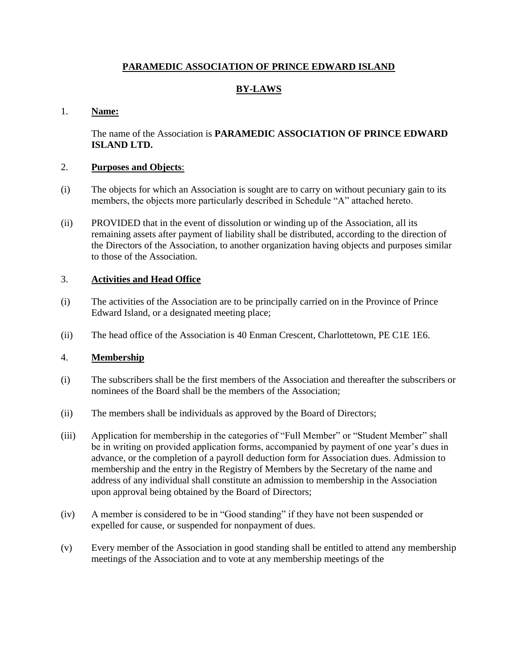# **PARAMEDIC ASSOCIATION OF PRINCE EDWARD ISLAND**

# **BY-LAWS**

## 1. **Name:**

The name of the Association is **PARAMEDIC ASSOCIATION OF PRINCE EDWARD ISLAND LTD.** 

## 2. **Purposes and Objects**:

- (i) The objects for which an Association is sought are to carry on without pecuniary gain to its members, the objects more particularly described in Schedule "A" attached hereto.
- (ii) PROVIDED that in the event of dissolution or winding up of the Association, all its remaining assets after payment of liability shall be distributed, according to the direction of the Directors of the Association, to another organization having objects and purposes similar to those of the Association.

# 3. **Activities and Head Office**

- (i) The activities of the Association are to be principally carried on in the Province of Prince Edward Island, or a designated meeting place;
- (ii) The head office of the Association is 40 Enman Crescent, Charlottetown, PE C1E 1E6.

## 4. **Membership**

- (i) The subscribers shall be the first members of the Association and thereafter the subscribers or nominees of the Board shall be the members of the Association;
- (ii) The members shall be individuals as approved by the Board of Directors;
- (iii) Application for membership in the categories of "Full Member" or "Student Member" shall be in writing on provided application forms, accompanied by payment of one year's dues in advance, or the completion of a payroll deduction form for Association dues. Admission to membership and the entry in the Registry of Members by the Secretary of the name and address of any individual shall constitute an admission to membership in the Association upon approval being obtained by the Board of Directors;
- (iv) A member is considered to be in "Good standing" if they have not been suspended or expelled for cause, or suspended for nonpayment of dues.
- (v) Every member of the Association in good standing shall be entitled to attend any membership meetings of the Association and to vote at any membership meetings of the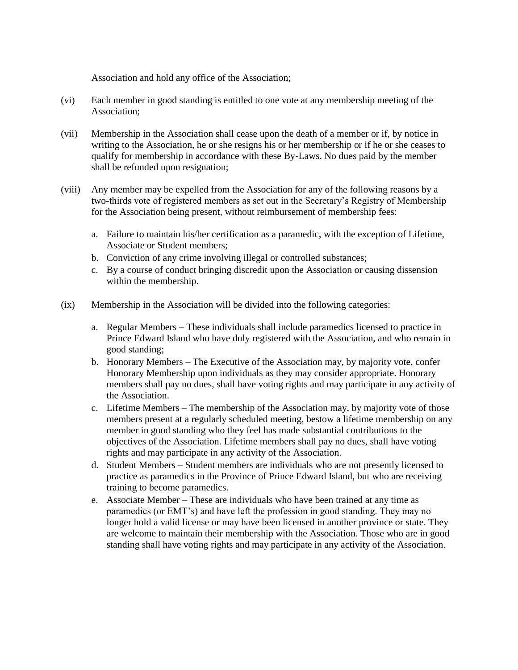Association and hold any office of the Association;

- (vi) Each member in good standing is entitled to one vote at any membership meeting of the Association;
- (vii) Membership in the Association shall cease upon the death of a member or if, by notice in writing to the Association, he or she resigns his or her membership or if he or she ceases to qualify for membership in accordance with these By-Laws. No dues paid by the member shall be refunded upon resignation;
- (viii) Any member may be expelled from the Association for any of the following reasons by a two-thirds vote of registered members as set out in the Secretary's Registry of Membership for the Association being present, without reimbursement of membership fees:
	- a. Failure to maintain his/her certification as a paramedic, with the exception of Lifetime, Associate or Student members;
	- b. Conviction of any crime involving illegal or controlled substances;
	- c. By a course of conduct bringing discredit upon the Association or causing dissension within the membership.
- (ix) Membership in the Association will be divided into the following categories:
	- a. Regular Members These individuals shall include paramedics licensed to practice in Prince Edward Island who have duly registered with the Association, and who remain in good standing;
	- b. Honorary Members The Executive of the Association may, by majority vote, confer Honorary Membership upon individuals as they may consider appropriate. Honorary members shall pay no dues, shall have voting rights and may participate in any activity of the Association.
	- c. Lifetime Members The membership of the Association may, by majority vote of those members present at a regularly scheduled meeting, bestow a lifetime membership on any member in good standing who they feel has made substantial contributions to the objectives of the Association. Lifetime members shall pay no dues, shall have voting rights and may participate in any activity of the Association.
	- d. Student Members Student members are individuals who are not presently licensed to practice as paramedics in the Province of Prince Edward Island, but who are receiving training to become paramedics.
	- e. Associate Member These are individuals who have been trained at any time as paramedics (or EMT's) and have left the profession in good standing. They may no longer hold a valid license or may have been licensed in another province or state. They are welcome to maintain their membership with the Association. Those who are in good standing shall have voting rights and may participate in any activity of the Association.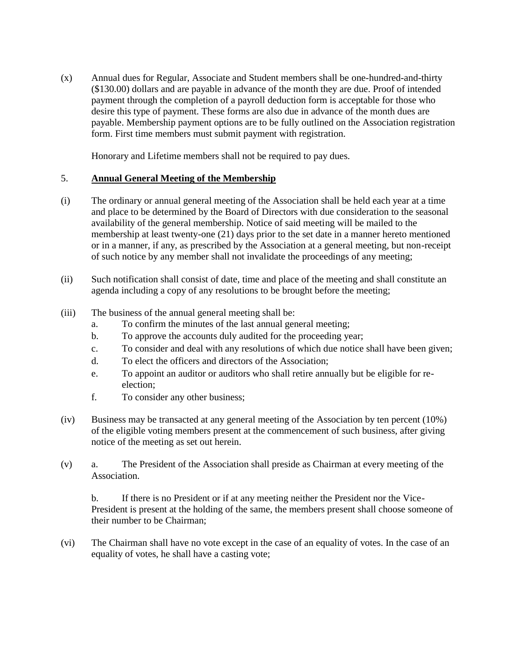(x) Annual dues for Regular, Associate and Student members shall be one-hundred-and-thirty (\$130.00) dollars and are payable in advance of the month they are due. Proof of intended payment through the completion of a payroll deduction form is acceptable for those who desire this type of payment. These forms are also due in advance of the month dues are payable. Membership payment options are to be fully outlined on the Association registration form. First time members must submit payment with registration.

Honorary and Lifetime members shall not be required to pay dues.

# 5. **Annual General Meeting of the Membership**

- (i) The ordinary or annual general meeting of the Association shall be held each year at a time and place to be determined by the Board of Directors with due consideration to the seasonal availability of the general membership. Notice of said meeting will be mailed to the membership at least twenty-one (21) days prior to the set date in a manner hereto mentioned or in a manner, if any, as prescribed by the Association at a general meeting, but non-receipt of such notice by any member shall not invalidate the proceedings of any meeting;
- (ii) Such notification shall consist of date, time and place of the meeting and shall constitute an agenda including a copy of any resolutions to be brought before the meeting;
- (iii) The business of the annual general meeting shall be:
	- a. To confirm the minutes of the last annual general meeting;
	- b. To approve the accounts duly audited for the proceeding year;
	- c. To consider and deal with any resolutions of which due notice shall have been given;
	- d. To elect the officers and directors of the Association;
	- e. To appoint an auditor or auditors who shall retire annually but be eligible for reelection;
	- f. To consider any other business;
- (iv) Business may be transacted at any general meeting of the Association by ten percent (10%) of the eligible voting members present at the commencement of such business, after giving notice of the meeting as set out herein.
- (v) a. The President of the Association shall preside as Chairman at every meeting of the Association.

b. If there is no President or if at any meeting neither the President nor the Vice-President is present at the holding of the same, the members present shall choose someone of their number to be Chairman;

(vi) The Chairman shall have no vote except in the case of an equality of votes. In the case of an equality of votes, he shall have a casting vote;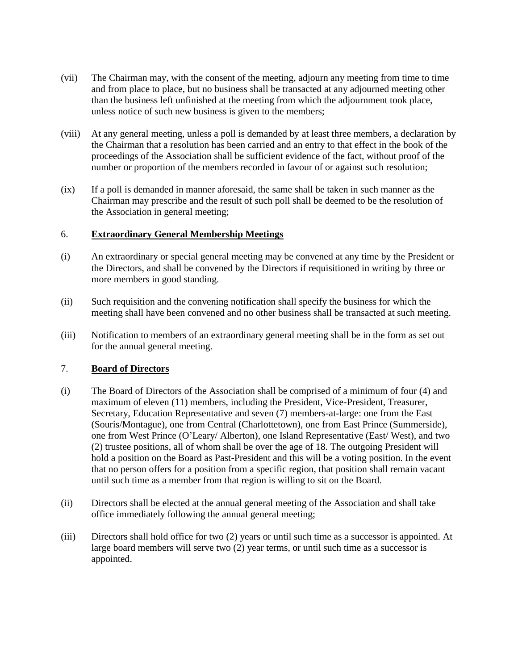- (vii) The Chairman may, with the consent of the meeting, adjourn any meeting from time to time and from place to place, but no business shall be transacted at any adjourned meeting other than the business left unfinished at the meeting from which the adjournment took place, unless notice of such new business is given to the members;
- (viii) At any general meeting, unless a poll is demanded by at least three members, a declaration by the Chairman that a resolution has been carried and an entry to that effect in the book of the proceedings of the Association shall be sufficient evidence of the fact, without proof of the number or proportion of the members recorded in favour of or against such resolution;
- (ix) If a poll is demanded in manner aforesaid, the same shall be taken in such manner as the Chairman may prescribe and the result of such poll shall be deemed to be the resolution of the Association in general meeting;

## 6. **Extraordinary General Membership Meetings**

- (i) An extraordinary or special general meeting may be convened at any time by the President or the Directors, and shall be convened by the Directors if requisitioned in writing by three or more members in good standing.
- (ii) Such requisition and the convening notification shall specify the business for which the meeting shall have been convened and no other business shall be transacted at such meeting.
- (iii) Notification to members of an extraordinary general meeting shall be in the form as set out for the annual general meeting.

## 7. **Board of Directors**

- (i) The Board of Directors of the Association shall be comprised of a minimum of four (4) and maximum of eleven (11) members, including the President, Vice-President, Treasurer, Secretary, Education Representative and seven (7) members-at-large: one from the East (Souris/Montague), one from Central (Charlottetown), one from East Prince (Summerside), one from West Prince (O'Leary/ Alberton), one Island Representative (East/ West), and two (2) trustee positions, all of whom shall be over the age of 18. The outgoing President will hold a position on the Board as Past-President and this will be a voting position. In the event that no person offers for a position from a specific region, that position shall remain vacant until such time as a member from that region is willing to sit on the Board.
- (ii) Directors shall be elected at the annual general meeting of the Association and shall take office immediately following the annual general meeting;
- (iii) Directors shall hold office for two (2) years or until such time as a successor is appointed. At large board members will serve two (2) year terms, or until such time as a successor is appointed.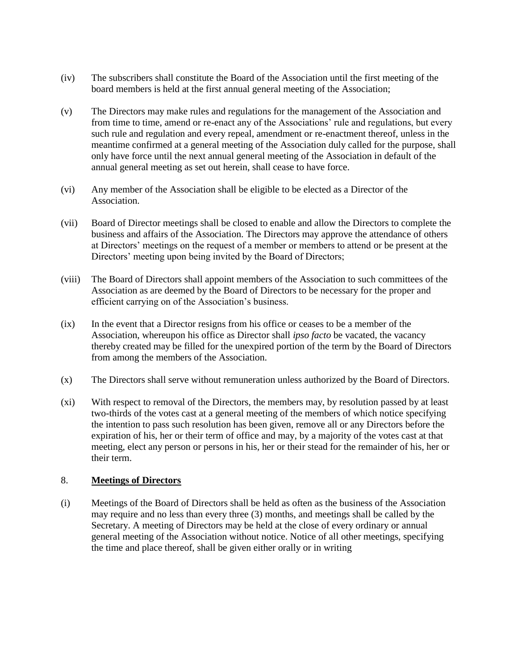- (iv) The subscribers shall constitute the Board of the Association until the first meeting of the board members is held at the first annual general meeting of the Association;
- (v) The Directors may make rules and regulations for the management of the Association and from time to time, amend or re-enact any of the Associations' rule and regulations, but every such rule and regulation and every repeal, amendment or re-enactment thereof, unless in the meantime confirmed at a general meeting of the Association duly called for the purpose, shall only have force until the next annual general meeting of the Association in default of the annual general meeting as set out herein, shall cease to have force.
- (vi) Any member of the Association shall be eligible to be elected as a Director of the Association.
- (vii) Board of Director meetings shall be closed to enable and allow the Directors to complete the business and affairs of the Association. The Directors may approve the attendance of others at Directors' meetings on the request of a member or members to attend or be present at the Directors' meeting upon being invited by the Board of Directors;
- (viii) The Board of Directors shall appoint members of the Association to such committees of the Association as are deemed by the Board of Directors to be necessary for the proper and efficient carrying on of the Association's business.
- (ix) In the event that a Director resigns from his office or ceases to be a member of the Association, whereupon his office as Director shall *ipso facto* be vacated, the vacancy thereby created may be filled for the unexpired portion of the term by the Board of Directors from among the members of the Association.
- (x) The Directors shall serve without remuneration unless authorized by the Board of Directors.
- (xi) With respect to removal of the Directors, the members may, by resolution passed by at least two-thirds of the votes cast at a general meeting of the members of which notice specifying the intention to pass such resolution has been given, remove all or any Directors before the expiration of his, her or their term of office and may, by a majority of the votes cast at that meeting, elect any person or persons in his, her or their stead for the remainder of his, her or their term.

## 8. **Meetings of Directors**

(i) Meetings of the Board of Directors shall be held as often as the business of the Association may require and no less than every three (3) months, and meetings shall be called by the Secretary. A meeting of Directors may be held at the close of every ordinary or annual general meeting of the Association without notice. Notice of all other meetings, specifying the time and place thereof, shall be given either orally or in writing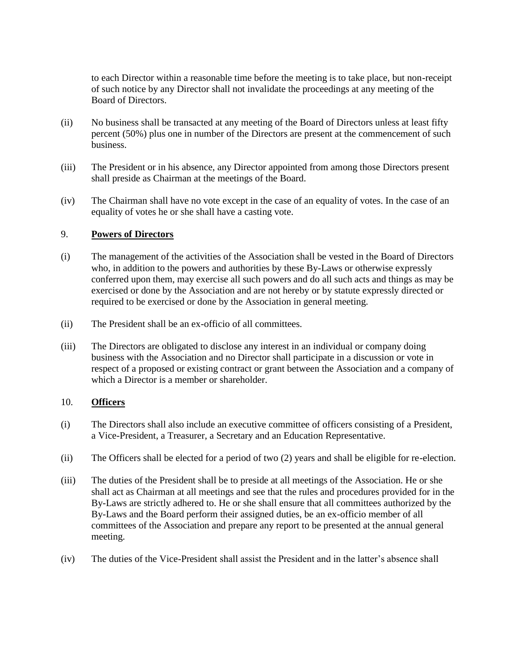to each Director within a reasonable time before the meeting is to take place, but non-receipt of such notice by any Director shall not invalidate the proceedings at any meeting of the Board of Directors.

- (ii) No business shall be transacted at any meeting of the Board of Directors unless at least fifty percent (50%) plus one in number of the Directors are present at the commencement of such business.
- (iii) The President or in his absence, any Director appointed from among those Directors present shall preside as Chairman at the meetings of the Board.
- (iv) The Chairman shall have no vote except in the case of an equality of votes. In the case of an equality of votes he or she shall have a casting vote.

#### 9. **Powers of Directors**

- (i) The management of the activities of the Association shall be vested in the Board of Directors who, in addition to the powers and authorities by these By-Laws or otherwise expressly conferred upon them, may exercise all such powers and do all such acts and things as may be exercised or done by the Association and are not hereby or by statute expressly directed or required to be exercised or done by the Association in general meeting.
- (ii) The President shall be an ex-officio of all committees.
- (iii) The Directors are obligated to disclose any interest in an individual or company doing business with the Association and no Director shall participate in a discussion or vote in respect of a proposed or existing contract or grant between the Association and a company of which a Director is a member or shareholder.

#### 10. **Officers**

- (i) The Directors shall also include an executive committee of officers consisting of a President, a Vice-President, a Treasurer, a Secretary and an Education Representative.
- (ii) The Officers shall be elected for a period of two (2) years and shall be eligible for re-election.
- (iii) The duties of the President shall be to preside at all meetings of the Association. He or she shall act as Chairman at all meetings and see that the rules and procedures provided for in the By-Laws are strictly adhered to. He or she shall ensure that all committees authorized by the By-Laws and the Board perform their assigned duties, be an ex-officio member of all committees of the Association and prepare any report to be presented at the annual general meeting.
- (iv) The duties of the Vice-President shall assist the President and in the latter's absence shall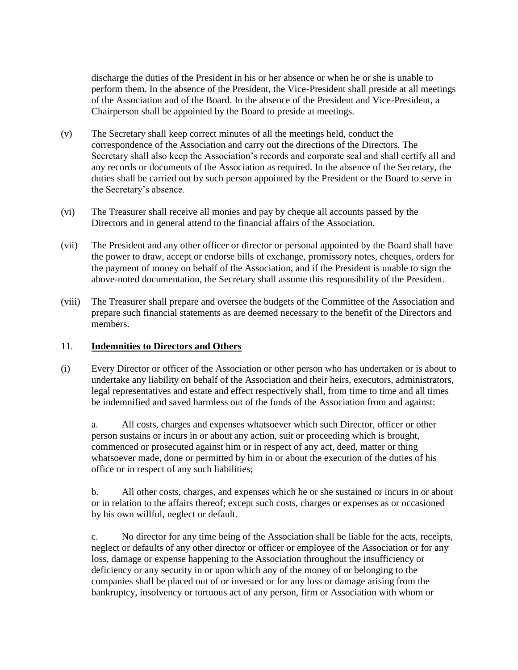discharge the duties of the President in his or her absence or when he or she is unable to perform them. In the absence of the President, the Vice-President shall preside at all meetings of the Association and of the Board. In the absence of the President and Vice-President, a Chairperson shall be appointed by the Board to preside at meetings.

- (v) The Secretary shall keep correct minutes of all the meetings held, conduct the correspondence of the Association and carry out the directions of the Directors. The Secretary shall also keep the Association's records and corporate seal and shall certify all and any records or documents of the Association as required. In the absence of the Secretary, the duties shall be carried out by such person appointed by the President or the Board to serve in the Secretary's absence.
- (vi) The Treasurer shall receive all monies and pay by cheque all accounts passed by the Directors and in general attend to the financial affairs of the Association.
- (vii) The President and any other officer or director or personal appointed by the Board shall have the power to draw, accept or endorse bills of exchange, promissory notes, cheques, orders for the payment of money on behalf of the Association, and if the President is unable to sign the above-noted documentation, the Secretary shall assume this responsibility of the President.
- (viii) The Treasurer shall prepare and oversee the budgets of the Committee of the Association and prepare such financial statements as are deemed necessary to the benefit of the Directors and members.

## 11. **Indemnities to Directors and Others**

(i) Every Director or officer of the Association or other person who has undertaken or is about to undertake any liability on behalf of the Association and their heirs, executors, administrators, legal representatives and estate and effect respectively shall, from time to time and all times be indemnified and saved harmless out of the funds of the Association from and against:

a. All costs, charges and expenses whatsoever which such Director, officer or other person sustains or incurs in or about any action, suit or proceeding which is brought, commenced or prosecuted against him or in respect of any act, deed, matter or thing whatsoever made, done or permitted by him in or about the execution of the duties of his office or in respect of any such liabilities;

b. All other costs, charges, and expenses which he or she sustained or incurs in or about or in relation to the affairs thereof; except such costs, charges or expenses as or occasioned by his own willful, neglect or default.

c. No director for any time being of the Association shall be liable for the acts, receipts, neglect or defaults of any other director or officer or employee of the Association or for any loss, damage or expense happening to the Association throughout the insufficiency or deficiency or any security in or upon which any of the money of or belonging to the companies shall be placed out of or invested or for any loss or damage arising from the bankruptcy, insolvency or tortuous act of any person, firm or Association with whom or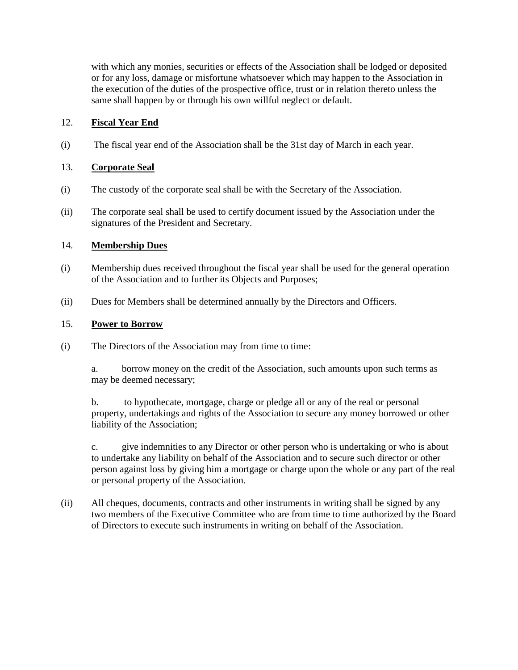with which any monies, securities or effects of the Association shall be lodged or deposited or for any loss, damage or misfortune whatsoever which may happen to the Association in the execution of the duties of the prospective office, trust or in relation thereto unless the same shall happen by or through his own willful neglect or default.

## 12. **Fiscal Year End**

(i) The fiscal year end of the Association shall be the 31st day of March in each year.

## 13. **Corporate Seal**

- (i) The custody of the corporate seal shall be with the Secretary of the Association.
- (ii) The corporate seal shall be used to certify document issued by the Association under the signatures of the President and Secretary.

# 14. **Membership Dues**

- (i) Membership dues received throughout the fiscal year shall be used for the general operation of the Association and to further its Objects and Purposes;
- (ii) Dues for Members shall be determined annually by the Directors and Officers.

# 15. **Power to Borrow**

- (i) The Directors of the Association may from time to time:
	- a. borrow money on the credit of the Association, such amounts upon such terms as may be deemed necessary;

b. to hypothecate, mortgage, charge or pledge all or any of the real or personal property, undertakings and rights of the Association to secure any money borrowed or other liability of the Association;

c. give indemnities to any Director or other person who is undertaking or who is about to undertake any liability on behalf of the Association and to secure such director or other person against loss by giving him a mortgage or charge upon the whole or any part of the real or personal property of the Association.

(ii) All cheques, documents, contracts and other instruments in writing shall be signed by any two members of the Executive Committee who are from time to time authorized by the Board of Directors to execute such instruments in writing on behalf of the Association.